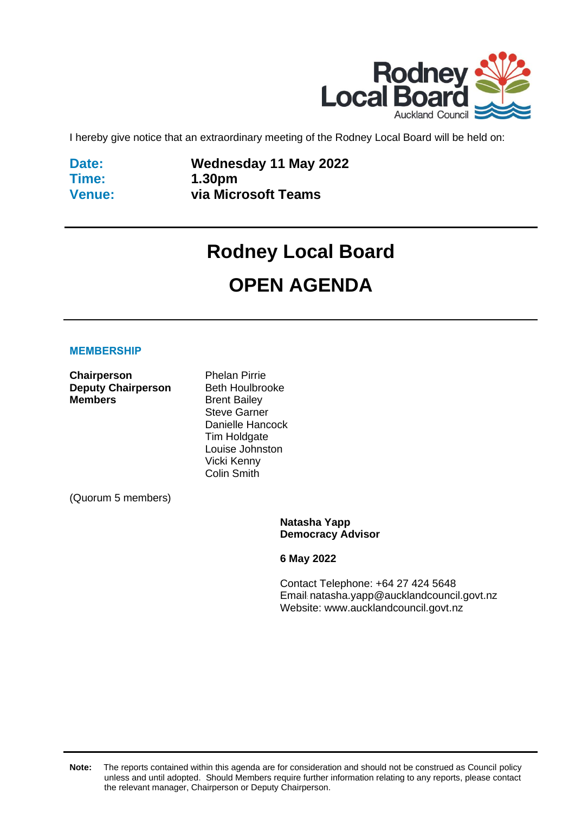

I hereby give notice that an extraordinary meeting of the Rodney Local Board will be held on:

**Date: Time: Venue:**

**Wednesday 11 May 2022 1.30pm via Microsoft Teams**

# **Rodney Local Board OPEN AGENDA**

#### **MEMBERSHIP**

**Chairperson** Phelan Pirrie **Deputy Chairperson** Beth Houlbrooke **Members** Brent Bailey

Steve Garner Danielle Hancock Tim Holdgate Louise Johnston Vicki Kenny Colin Smith

(Quorum 5 members)

**Natasha Yapp Democracy Advisor**

**6 May 2022**

Contact Telephone: +64 27 424 5648 Email: natasha.yapp@aucklandcouncil.govt.nz Website: www.aucklandcouncil.govt.nz

**Note:** The reports contained within this agenda are for consideration and should not be construed as Council policy unless and until adopted. Should Members require further information relating to any reports, please contact the relevant manager, Chairperson or Deputy Chairperson.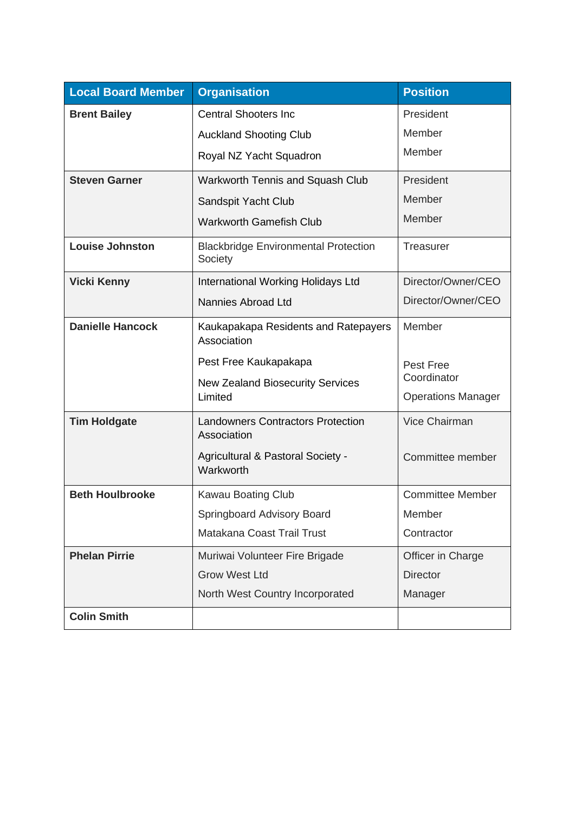| <b>Local Board Member</b> | <b>Organisation</b>                                                        | <b>Position</b>           |  |
|---------------------------|----------------------------------------------------------------------------|---------------------------|--|
| <b>Brent Bailey</b>       | <b>Central Shooters Inc</b>                                                | President                 |  |
|                           | <b>Auckland Shooting Club</b>                                              | Member                    |  |
|                           | Royal NZ Yacht Squadron                                                    | Member                    |  |
| <b>Steven Garner</b>      | Warkworth Tennis and Squash Club                                           | President                 |  |
|                           | Sandspit Yacht Club                                                        | Member                    |  |
|                           | <b>Warkworth Gamefish Club</b>                                             | Member                    |  |
| <b>Louise Johnston</b>    | <b>Blackbridge Environmental Protection</b><br><b>Treasurer</b><br>Society |                           |  |
| <b>Vicki Kenny</b>        | Director/Owner/CEO<br><b>International Working Holidays Ltd</b>            |                           |  |
|                           | <b>Nannies Abroad Ltd</b>                                                  | Director/Owner/CEO        |  |
| <b>Danielle Hancock</b>   | Kaukapakapa Residents and Ratepayers<br>Association                        | Member                    |  |
|                           | Pest Free Kaukapakapa                                                      | Pest Free                 |  |
|                           | <b>New Zealand Biosecurity Services</b>                                    | Coordinator               |  |
|                           | Limited                                                                    | <b>Operations Manager</b> |  |
| <b>Tim Holdgate</b>       | <b>Landowners Contractors Protection</b><br>Association                    | Vice Chairman             |  |
|                           | Agricultural & Pastoral Society -<br>Warkworth                             | Committee member          |  |
| <b>Beth Houlbrooke</b>    | Kawau Boating Club                                                         | <b>Committee Member</b>   |  |
|                           | Springboard Advisory Board                                                 | Member                    |  |
|                           | Matakana Coast Trail Trust                                                 | Contractor                |  |
| <b>Phelan Pirrie</b>      | Muriwai Volunteer Fire Brigade                                             | Officer in Charge         |  |
|                           | <b>Grow West Ltd</b>                                                       | <b>Director</b>           |  |
|                           | North West Country Incorporated                                            | Manager                   |  |
| <b>Colin Smith</b>        |                                                                            |                           |  |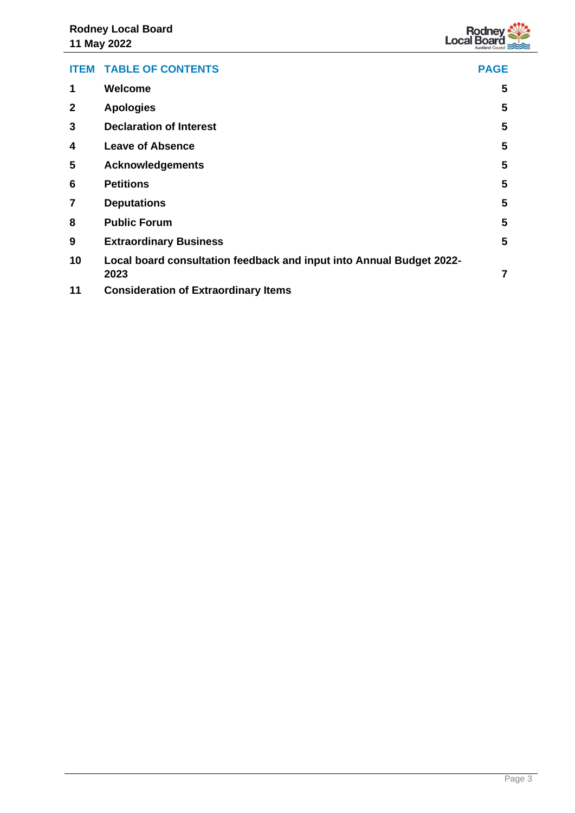

|              | <b>ITEM TABLE OF CONTENTS</b>                                                | <b>PAGE</b>    |
|--------------|------------------------------------------------------------------------------|----------------|
| 1            | Welcome                                                                      | 5              |
| $\mathbf{2}$ | <b>Apologies</b>                                                             | 5              |
| 3            | <b>Declaration of Interest</b>                                               | 5              |
| 4            | <b>Leave of Absence</b>                                                      | 5              |
| 5            | <b>Acknowledgements</b>                                                      | 5              |
| 6            | <b>Petitions</b>                                                             | 5              |
| 7            | <b>Deputations</b>                                                           | 5              |
| 8            | <b>Public Forum</b>                                                          | 5              |
| 9            | <b>Extraordinary Business</b>                                                | 5              |
| 10           | Local board consultation feedback and input into Annual Budget 2022-<br>2023 | $\overline{7}$ |
| 11           | <b>Consideration of Extraordinary Items</b>                                  |                |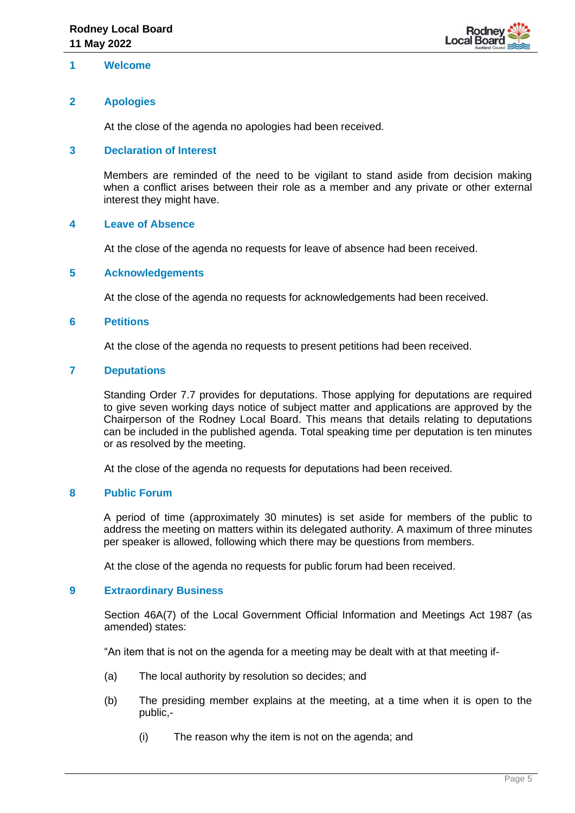

#### <span id="page-4-0"></span>**1 Welcome**

#### <span id="page-4-1"></span>**2 Apologies**

At the close of the agenda no apologies had been received.

#### <span id="page-4-2"></span>**3 Declaration of Interest**

Members are reminded of the need to be vigilant to stand aside from decision making when a conflict arises between their role as a member and any private or other external interest they might have.

#### <span id="page-4-3"></span>**4 Leave of Absence**

At the close of the agenda no requests for leave of absence had been received.

#### <span id="page-4-4"></span>**5 Acknowledgements**

At the close of the agenda no requests for acknowledgements had been received.

#### <span id="page-4-5"></span>**6 Petitions**

At the close of the agenda no requests to present petitions had been received.

#### <span id="page-4-6"></span>**7 Deputations**

Standing Order 7.7 provides for deputations. Those applying for deputations are required to give seven working days notice of subject matter and applications are approved by the Chairperson of the Rodney Local Board. This means that details relating to deputations can be included in the published agenda. Total speaking time per deputation is ten minutes or as resolved by the meeting.

At the close of the agenda no requests for deputations had been received.

#### <span id="page-4-7"></span>**8 Public Forum**

A period of time (approximately 30 minutes) is set aside for members of the public to address the meeting on matters within its delegated authority. A maximum of three minutes per speaker is allowed, following which there may be questions from members.

At the close of the agenda no requests for public forum had been received.

#### <span id="page-4-8"></span>**9 Extraordinary Business**

Section 46A(7) of the Local Government Official Information and Meetings Act 1987 (as amended) states:

"An item that is not on the agenda for a meeting may be dealt with at that meeting if-

- (a) The local authority by resolution so decides; and
- (b) The presiding member explains at the meeting, at a time when it is open to the public,-
	- (i) The reason why the item is not on the agenda; and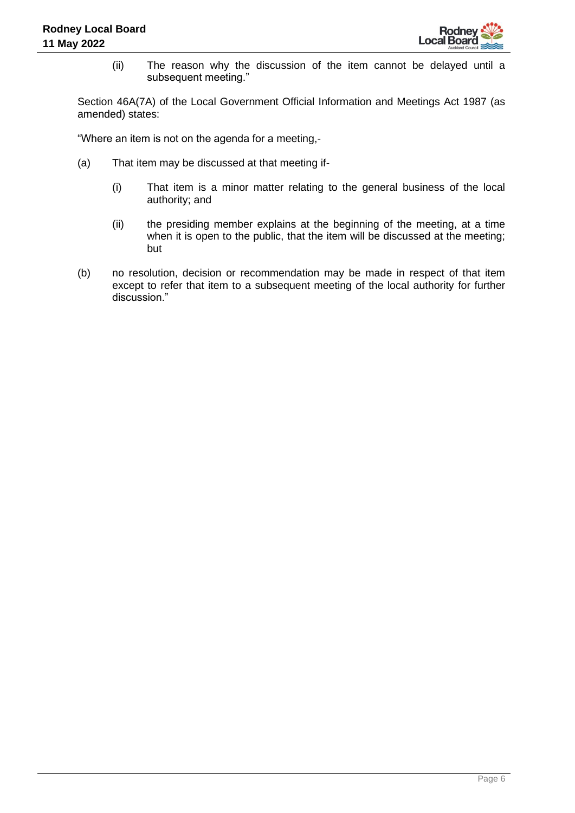

(ii) The reason why the discussion of the item cannot be delayed until a subsequent meeting."

Section 46A(7A) of the Local Government Official Information and Meetings Act 1987 (as amended) states:

"Where an item is not on the agenda for a meeting,-

- (a) That item may be discussed at that meeting if-
	- (i) That item is a minor matter relating to the general business of the local authority; and
	- (ii) the presiding member explains at the beginning of the meeting, at a time when it is open to the public, that the item will be discussed at the meeting; but
- (b) no resolution, decision or recommendation may be made in respect of that item except to refer that item to a subsequent meeting of the local authority for further discussion."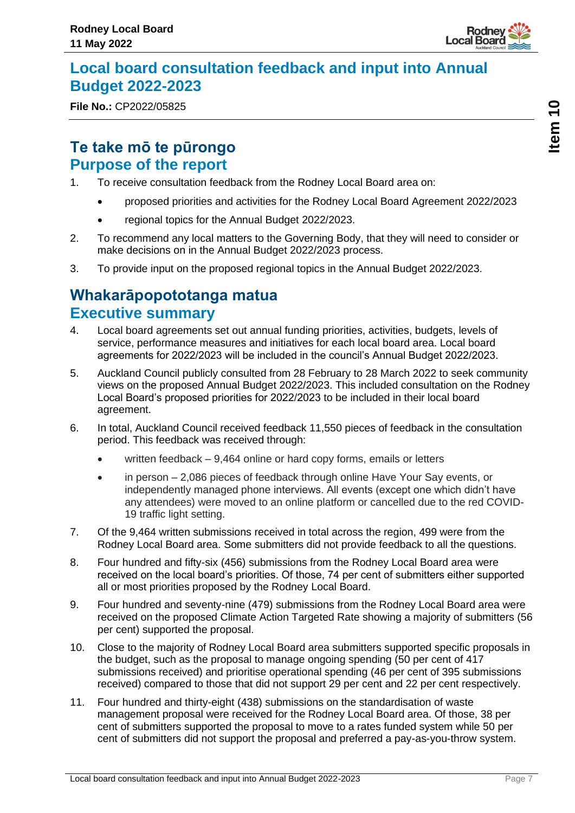

# <span id="page-6-0"></span>**Local board consultation feedback and input into Annual Budget 2022-2023**

**File No.:** CP2022/05825

## **Te take mō te pūrongo Purpose of the report**

- 1. To receive consultation feedback from the Rodney Local Board area on:
	- proposed priorities and activities for the Rodney Local Board Agreement 2022/2023
	- regional topics for the Annual Budget 2022/2023.
- 2. To recommend any local matters to the Governing Body, that they will need to consider or make decisions on in the Annual Budget 2022/2023 process.
- 3. To provide input on the proposed regional topics in the Annual Budget 2022/2023.

# **Whakarāpopototanga matua Executive summary**

- 4. Local board agreements set out annual funding priorities, activities, budgets, levels of service, performance measures and initiatives for each local board area. Local board agreements for 2022/2023 will be included in the council's Annual Budget 2022/2023.
- 5. Auckland Council publicly consulted from 28 February to 28 March 2022 to seek community views on the proposed Annual Budget 2022/2023. This included consultation on the Rodney Local Board's proposed priorities for 2022/2023 to be included in their local board agreement.
- 6. In total, Auckland Council received feedback 11,550 pieces of feedback in the consultation period. This feedback was received through:
	- written feedback 9,464 online or hard copy forms, emails or letters
	- in person 2,086 pieces of feedback through online Have Your Say events, or independently managed phone interviews. All events (except one which didn't have any attendees) were moved to an online platform or cancelled due to the red COVID-19 traffic light setting.
- 7. Of the 9,464 written submissions received in total across the region, 499 were from the Rodney Local Board area. Some submitters did not provide feedback to all the questions.
- 8. Four hundred and fifty-six (456) submissions from the Rodney Local Board area were received on the local board's priorities. Of those, 74 per cent of submitters either supported all or most priorities proposed by the Rodney Local Board.
- 9. Four hundred and seventy-nine (479) submissions from the Rodney Local Board area were received on the proposed Climate Action Targeted Rate showing a majority of submitters (56 per cent) supported the proposal.
- 10. Close to the majority of Rodney Local Board area submitters supported specific proposals in the budget, such as the proposal to manage ongoing spending (50 per cent of 417 submissions received) and prioritise operational spending (46 per cent of 395 submissions received) compared to those that did not support 29 per cent and 22 per cent respectively.
- 11. Four hundred and thirty-eight (438) submissions on the standardisation of waste management proposal were received for the Rodney Local Board area. Of those, 38 per cent of submitters supported the proposal to move to a rates funded system while 50 per cent of submitters did not support the proposal and preferred a pay-as-you-throw system.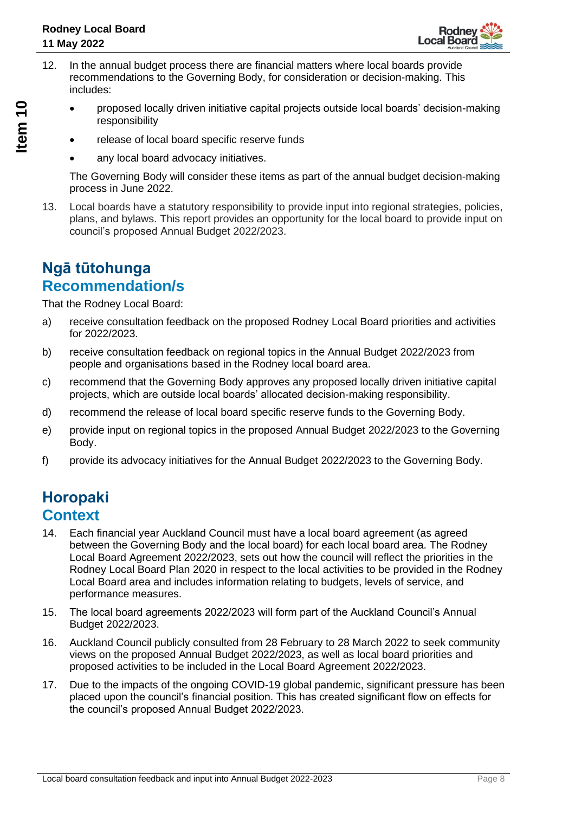

- 12. In the annual budget process there are financial matters where local boards provide recommendations to the Governing Body, for consideration or decision-making. This includes:
	- proposed locally driven initiative capital projects outside local boards' decision-making responsibility
	- release of local board specific reserve funds
	- any local board advocacy initiatives.

The Governing Body will consider these items as part of the annual budget decision-making process in June 2022.

13. Local boards have a statutory responsibility to provide input into regional strategies, policies, plans, and bylaws. This report provides an opportunity for the local board to provide input on council's proposed Annual Budget 2022/2023.

### **Ngā tūtohunga Recommendation/s**

That the Rodney Local Board:

- a) receive consultation feedback on the proposed Rodney Local Board priorities and activities for 2022/2023.
- b) receive consultation feedback on regional topics in the Annual Budget 2022/2023 from people and organisations based in the Rodney local board area.
- c) recommend that the Governing Body approves any proposed locally driven initiative capital projects, which are outside local boards' allocated decision-making responsibility.
- d) recommend the release of local board specific reserve funds to the Governing Body.
- e) provide input on regional topics in the proposed Annual Budget 2022/2023 to the Governing Body.
- f) provide its advocacy initiatives for the Annual Budget 2022/2023 to the Governing Body.

# **Horopaki Context**

- 14. Each financial year Auckland Council must have a local board agreement (as agreed between the Governing Body and the local board) for each local board area. The Rodney Local Board Agreement 2022/2023, sets out how the council will reflect the priorities in the Rodney Local Board Plan 2020 in respect to the local activities to be provided in the Rodney Local Board area and includes information relating to budgets, levels of service, and performance measures.
- 15. The local board agreements 2022/2023 will form part of the Auckland Council's Annual Budget 2022/2023.
- 16. Auckland Council publicly consulted from 28 February to 28 March 2022 to seek community views on the proposed Annual Budget 2022/2023, as well as local board priorities and proposed activities to be included in the Local Board Agreement 2022/2023.
- 17. Due to the impacts of the ongoing COVID-19 global pandemic, significant pressure has been placed upon the council's financial position. This has created significant flow on effects for the council's proposed Annual Budget 2022/2023.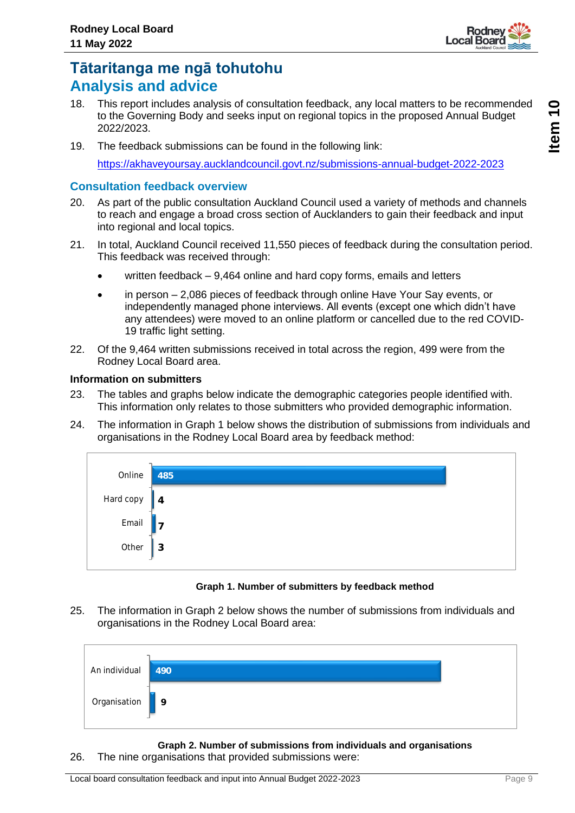

### **Tātaritanga me ngā tohutohu Analysis and advice**

- 18. This report includes analysis of consultation feedback, any local matters to be recommended to the Governing Body and seeks input on regional topics in the proposed Annual Budget 2022/2023.
- 19. The feedback submissions can be found in the following link:

<https://akhaveyoursay.aucklandcouncil.govt.nz/submissions-annual-budget-2022-2023>

#### **Consultation feedback overview**

- 20. As part of the public consultation Auckland Council used a variety of methods and channels to reach and engage a broad cross section of Aucklanders to gain their feedback and input into regional and local topics.
- 21. In total, Auckland Council received 11,550 pieces of feedback during the consultation period. This feedback was received through:
	- written feedback 9,464 online and hard copy forms, emails and letters
	- in person 2,086 pieces of feedback through online Have Your Say events, or independently managed phone interviews. All events (except one which didn't have any attendees) were moved to an online platform or cancelled due to the red COVID-19 traffic light setting.
- 22. Of the 9,464 written submissions received in total across the region, 499 were from the Rodney Local Board area.

#### **Information on submitters**

- 23. The tables and graphs below indicate the demographic categories people identified with. This information only relates to those submitters who provided demographic information.
- 24. The information in Graph 1 below shows the distribution of submissions from individuals and organisations in the Rodney Local Board area by feedback method:



#### **Graph 1. Number of submitters by feedback method**

25. The information in Graph 2 below shows the number of submissions from individuals and organisations in the Rodney Local Board area:



**Graph 2. Number of submissions from individuals and organisations**  26. The nine organisations that provided submissions were: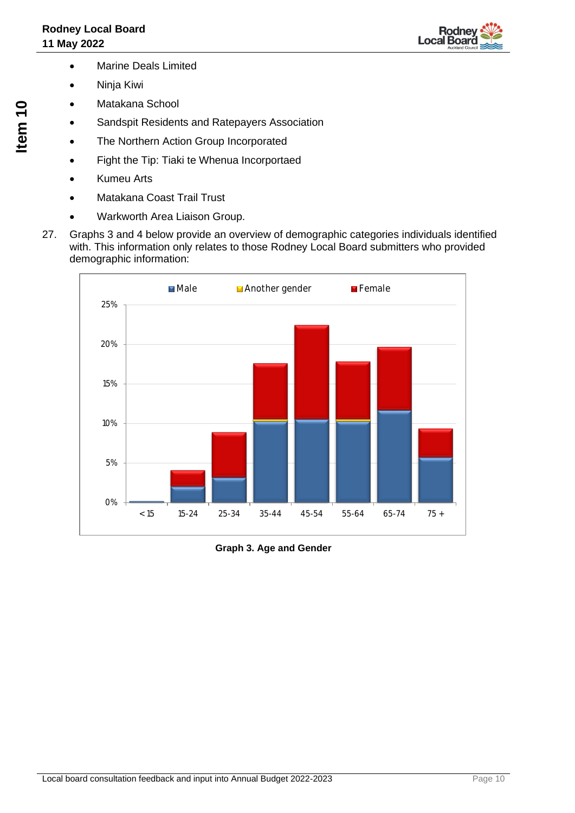

- Marine Deals Limited
- Ninja Kiwi
- Matakana School
- Sandspit Residents and Ratepayers Association
- The Northern Action Group Incorporated
- Fight the Tip: Tiaki te Whenua Incorportaed
- Kumeu Arts
- Matakana Coast Trail Trust
- Warkworth Area Liaison Group.
- 27. Graphs 3 and 4 below provide an overview of demographic categories individuals identified with. This information only relates to those Rodney Local Board submitters who provided demographic information:



**Graph 3. Age and Gender**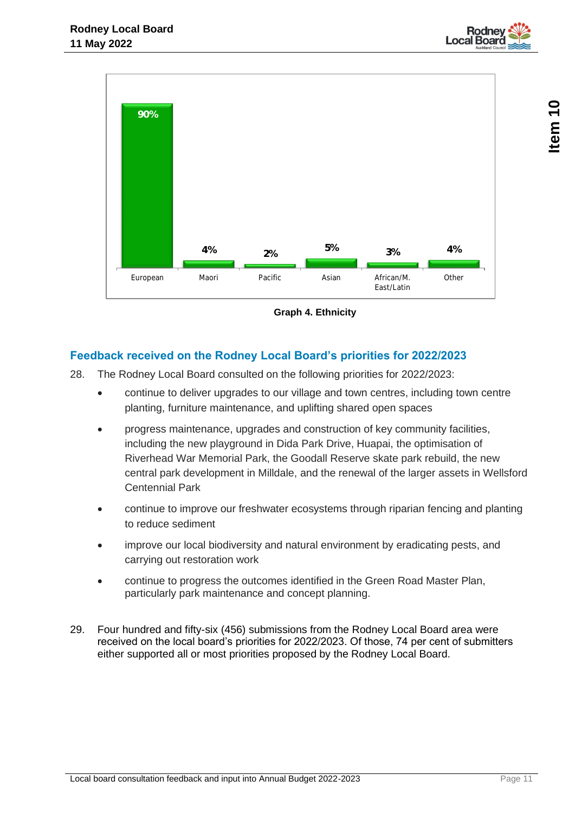



**Graph 4. Ethnicity**

### **Feedback received on the Rodney Local Board's priorities for 2022/2023**

28. The Rodney Local Board consulted on the following priorities for 2022/2023:

- continue to deliver upgrades to our village and town centres, including town centre planting, furniture maintenance, and uplifting shared open spaces
- progress maintenance, upgrades and construction of key community facilities, including the new playground in Dida Park Drive, Huapai, the optimisation of Riverhead War Memorial Park, the Goodall Reserve skate park rebuild, the new central park development in Milldale, and the renewal of the larger assets in Wellsford Centennial Park
- continue to improve our freshwater ecosystems through riparian fencing and planting to reduce sediment
- improve our local biodiversity and natural environment by eradicating pests, and carrying out restoration work
- continue to progress the outcomes identified in the Green Road Master Plan, particularly park maintenance and concept planning.
- 29. Four hundred and fifty-six (456) submissions from the Rodney Local Board area were received on the local board's priorities for 2022/2023. Of those, 74 per cent of submitters either supported all or most priorities proposed by the Rodney Local Board.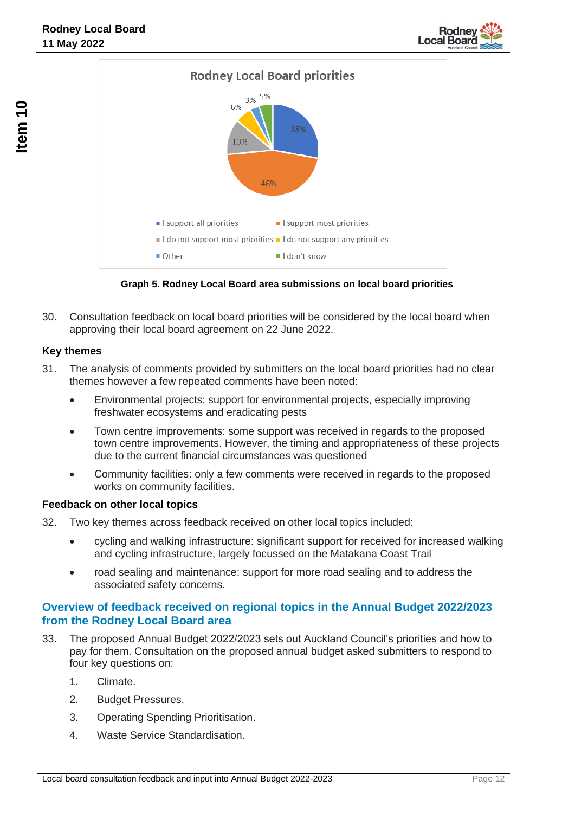



**Graph 5. Rodney Local Board area submissions on local board priorities** 

30. Consultation feedback on local board priorities will be considered by the local board when approving their local board agreement on 22 June 2022.

#### **Key themes**

- 31. The analysis of comments provided by submitters on the local board priorities had no clear themes however a few repeated comments have been noted:
	- Environmental projects: support for environmental projects, especially improving freshwater ecosystems and eradicating pests
	- Town centre improvements: some support was received in regards to the proposed town centre improvements. However, the timing and appropriateness of these projects due to the current financial circumstances was questioned
	- Community facilities: only a few comments were received in regards to the proposed works on community facilities.

#### **Feedback on other local topics**

- 32. Two key themes across feedback received on other local topics included:
	- cycling and walking infrastructure: significant support for received for increased walking and cycling infrastructure, largely focussed on the Matakana Coast Trail
	- road sealing and maintenance: support for more road sealing and to address the associated safety concerns.

#### **Overview of feedback received on regional topics in the Annual Budget 2022/2023 from the Rodney Local Board area**

- 33. The proposed Annual Budget 2022/2023 sets out Auckland Council's priorities and how to pay for them. Consultation on the proposed annual budget asked submitters to respond to four key questions on:
	- 1. Climate.
	- 2. Budget Pressures.
	- 3. Operating Spending Prioritisation.
	- 4. Waste Service Standardisation.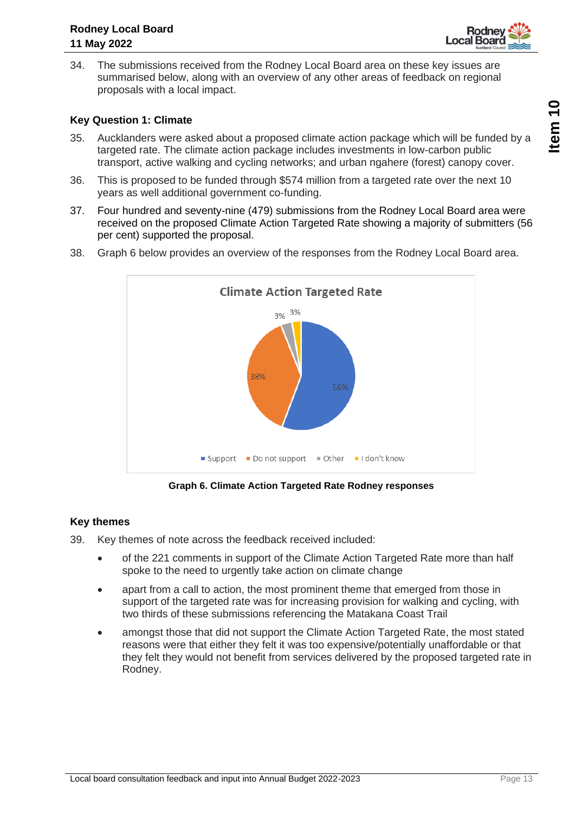

34. The submissions received from the Rodney Local Board area on these key issues are summarised below, along with an overview of any other areas of feedback on regional proposals with a local impact.

#### **Key Question 1: Climate**

- 35. Aucklanders were asked about a proposed climate action package which will be funded by a targeted rate. The climate action package includes investments in low-carbon public transport, active walking and cycling networks; and urban ngahere (forest) canopy cover.
- 36. This is proposed to be funded through \$574 million from a targeted rate over the next 10 years as well additional government co-funding.
- 37. Four hundred and seventy-nine (479) submissions from the Rodney Local Board area were received on the proposed Climate Action Targeted Rate showing a majority of submitters (56 per cent) supported the proposal.



38. Graph 6 below provides an overview of the responses from the Rodney Local Board area.

**Graph 6. Climate Action Targeted Rate Rodney responses** 

#### **Key themes**

39. Key themes of note across the feedback received included:

- of the 221 comments in support of the Climate Action Targeted Rate more than half spoke to the need to urgently take action on climate change
- apart from a call to action, the most prominent theme that emerged from those in support of the targeted rate was for increasing provision for walking and cycling, with two thirds of these submissions referencing the Matakana Coast Trail
- amongst those that did not support the Climate Action Targeted Rate, the most stated reasons were that either they felt it was too expensive/potentially unaffordable or that they felt they would not benefit from services delivered by the proposed targeted rate in Rodney.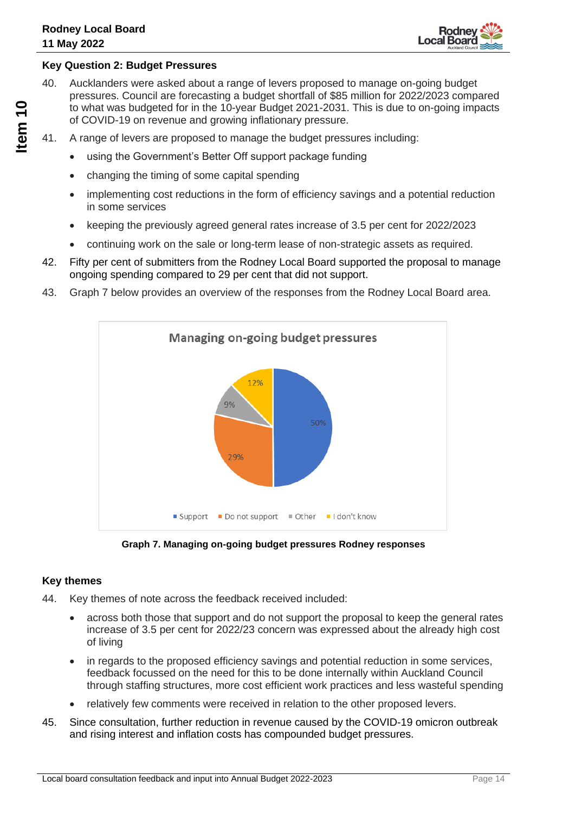

#### **Key Question 2: Budget Pressures**

- 40. Aucklanders were asked about a range of levers proposed to manage on-going budget pressures. Council are forecasting a budget shortfall of \$85 million for 2022/2023 compared to what was budgeted for in the 10-year Budget 2021-2031. This is due to on-going impacts of COVID-19 on revenue and growing inflationary pressure.
- 41. A range of levers are proposed to manage the budget pressures including:
	- using the Government's Better Off support package funding
	- changing the timing of some capital spending
	- implementing cost reductions in the form of efficiency savings and a potential reduction in some services
	- keeping the previously agreed general rates increase of 3.5 per cent for 2022/2023
	- continuing work on the sale or long-term lease of non-strategic assets as required.
- 42. Fifty per cent of submitters from the Rodney Local Board supported the proposal to manage ongoing spending compared to 29 per cent that did not support.
- 43. Graph 7 below provides an overview of the responses from the Rodney Local Board area.





#### **Key themes**

- 44. Key themes of note across the feedback received included:
	- across both those that support and do not support the proposal to keep the general rates increase of 3.5 per cent for 2022/23 concern was expressed about the already high cost of living
	- in regards to the proposed efficiency savings and potential reduction in some services, feedback focussed on the need for this to be done internally within Auckland Council through staffing structures, more cost efficient work practices and less wasteful spending
	- relatively few comments were received in relation to the other proposed levers.
- 45. Since consultation, further reduction in revenue caused by the COVID-19 omicron outbreak and rising interest and inflation costs has compounded budget pressures.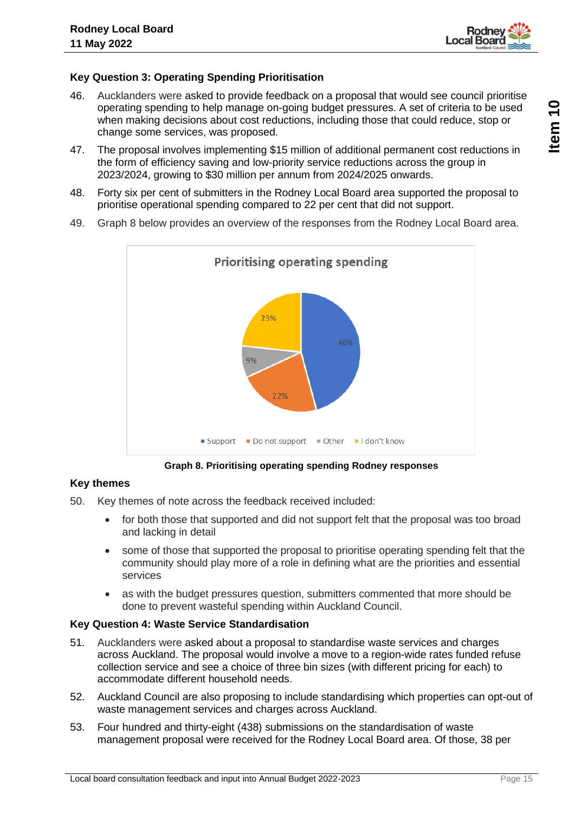

#### **Key Question 3: Operating Spending Prioritisation**

- 46. Aucklanders were asked to provide feedback on a proposal that would see council prioritise operating spending to help manage on-going budget pressures. A set of criteria to be used when making decisions about cost reductions, including those that could reduce, stop or change some services, was proposed.
- 47. The proposal involves implementing \$15 million of additional permanent cost reductions in the form of efficiency saving and low-priority service reductions across the group in 2023/2024, growing to \$30 million per annum from 2024/2025 onwards.
- 48. Forty six per cent of submitters in the Rodney Local Board area supported the proposal to prioritise operational spending compared to 22 per cent that did not support.
- 49. Graph 8 below provides an overview of the responses from the Rodney Local Board area.



**Graph 8. Prioritising operating spending Rodney responses** 

#### **Key themes**

- 50. Key themes of note across the feedback received included:
	- for both those that supported and did not support felt that the proposal was too broad and lacking in detail
	- some of those that supported the proposal to prioritise operating spending felt that the community should play more of a role in defining what are the priorities and essential services
	- as with the budget pressures question, submitters commented that more should be done to prevent wasteful spending within Auckland Council.

#### **Key Question 4: Waste Service Standardisation**

- 51. Aucklanders were asked about a proposal to standardise waste services and charges across Auckland. The proposal would involve a move to a region-wide rates funded refuse collection service and see a choice of three bin sizes (with different pricing for each) to accommodate different household needs.
- 52. Auckland Council are also proposing to include standardising which properties can opt-out of waste management services and charges across Auckland.
- 53. Four hundred and thirty-eight (438) submissions on the standardisation of waste management proposal were received for the Rodney Local Board area. Of those, 38 per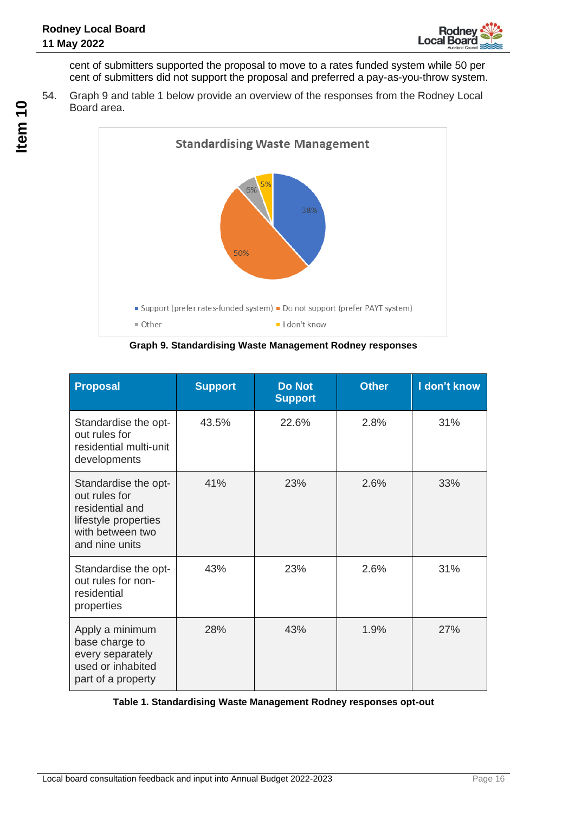

cent of submitters supported the proposal to move to a rates funded system while 50 per cent of submitters did not support the proposal and preferred a pay-as-you-throw system.

54. Graph 9 and table 1 below provide an overview of the responses from the Rodney Local Board area.



**Graph 9. Standardising Waste Management Rodney responses** 

| <b>Proposal</b>                                                                                                        | <b>Support</b> | <b>Do Not</b><br><b>Support</b> | <b>Other</b> | I don't know |
|------------------------------------------------------------------------------------------------------------------------|----------------|---------------------------------|--------------|--------------|
| Standardise the opt-<br>out rules for<br>residential multi-unit<br>developments                                        | 43.5%          | 22.6%                           | 2.8%         | 31%          |
| Standardise the opt-<br>out rules for<br>residential and<br>lifestyle properties<br>with between two<br>and nine units | 41%            | 23%                             | 2.6%         | 33%          |
| Standardise the opt-<br>out rules for non-<br>residential<br>properties                                                | 43%            | 23%                             | 2.6%         | 31%          |
| Apply a minimum<br>base charge to<br>every separately<br>used or inhabited<br>part of a property                       | 28%            | 43%                             | 1.9%         | 27%          |

#### **Table 1. Standardising Waste Management Rodney responses opt-out**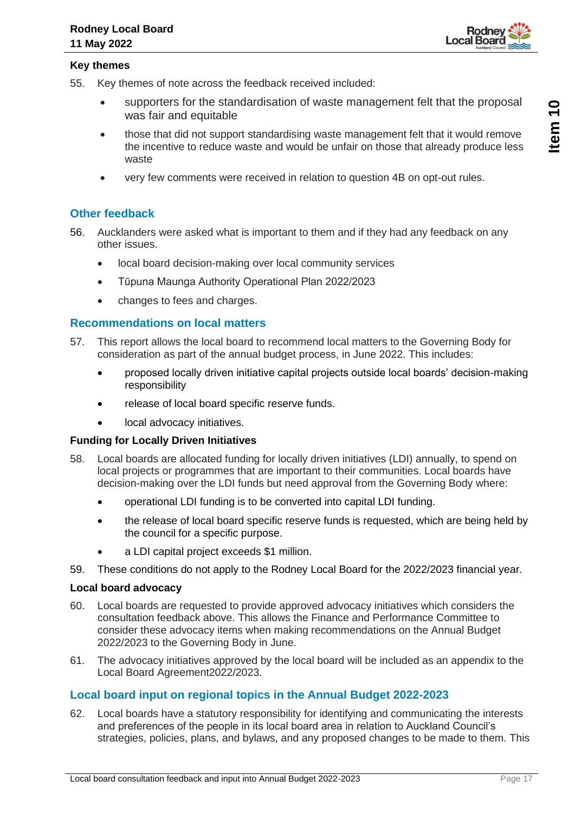

#### **Key themes**

- 55. Key themes of note across the feedback received included:
	- supporters for the standardisation of waste management felt that the proposal was fair and equitable
	- those that did not support standardising waste management felt that it would remove the incentive to reduce waste and would be unfair on those that already produce less waste
	- very few comments were received in relation to question 4B on opt-out rules.

#### **Other feedback**

- 56. Aucklanders were asked what is important to them and if they had any feedback on any other issues.
	- local board decision-making over local community services
	- Tūpuna Maunga Authority Operational Plan 2022/2023
	- changes to fees and charges.

#### **Recommendations on local matters**

- 57. This report allows the local board to recommend local matters to the Governing Body for consideration as part of the annual budget process, in June 2022. This includes:
	- proposed locally driven initiative capital projects outside local boards' decision-making responsibility
	- release of local board specific reserve funds.
	- local advocacy initiatives.

#### **Funding for Locally Driven Initiatives**

- 58. Local boards are allocated funding for locally driven initiatives (LDI) annually, to spend on local projects or programmes that are important to their communities. Local boards have decision-making over the LDI funds but need approval from the Governing Body where:
	- operational LDI funding is to be converted into capital LDI funding.
	- the release of local board specific reserve funds is requested, which are being held by the council for a specific purpose.
	- a LDI capital project exceeds \$1 million.
- 59. These conditions do not apply to the Rodney Local Board for the 2022/2023 financial year.

#### **Local board advocacy**

- 60. Local boards are requested to provide approved advocacy initiatives which considers the consultation feedback above. This allows the Finance and Performance Committee to consider these advocacy items when making recommendations on the Annual Budget 2022/2023 to the Governing Body in June.
- 61. The advocacy initiatives approved by the local board will be included as an appendix to the Local Board Agreement2022/2023.

#### **Local board input on regional topics in the Annual Budget 2022-2023**

62. Local boards have a statutory responsibility for identifying and communicating the interests and preferences of the people in its local board area in relation to Auckland Council's strategies, policies, plans, and bylaws, and any proposed changes to be made to them. This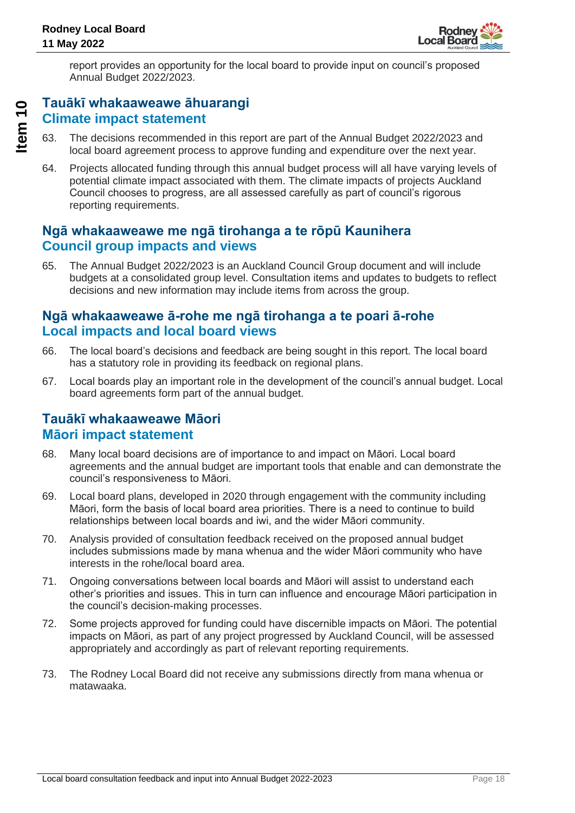

report provides an opportunity for the local board to provide input on council's proposed Annual Budget 2022/2023.

### **Tauākī whakaaweawe āhuarangi Climate impact statement**

- 63. The decisions recommended in this report are part of the Annual Budget 2022/2023 and local board agreement process to approve funding and expenditure over the next year.
- 64. Projects allocated funding through this annual budget process will all have varying levels of potential climate impact associated with them. The climate impacts of projects Auckland Council chooses to progress, are all assessed carefully as part of council's rigorous reporting requirements.

### **Ngā whakaaweawe me ngā tirohanga a te rōpū Kaunihera Council group impacts and views**

65. The Annual Budget 2022/2023 is an Auckland Council Group document and will include budgets at a consolidated group level. Consultation items and updates to budgets to reflect decisions and new information may include items from across the group.

### **Ngā whakaaweawe ā-rohe me ngā tirohanga a te poari ā-rohe Local impacts and local board views**

- 66. The local board's decisions and feedback are being sought in this report. The local board has a statutory role in providing its feedback on regional plans.
- 67. Local boards play an important role in the development of the council's annual budget. Local board agreements form part of the annual budget.

### **Tauākī whakaaweawe Māori Māori impact statement**

- 68. Many local board decisions are of importance to and impact on Māori. Local board agreements and the annual budget are important tools that enable and can demonstrate the council's responsiveness to Māori.
- 69. Local board plans, developed in 2020 through engagement with the community including Māori, form the basis of local board area priorities. There is a need to continue to build relationships between local boards and iwi, and the wider Māori community.
- 70. Analysis provided of consultation feedback received on the proposed annual budget includes submissions made by mana whenua and the wider Māori community who have interests in the rohe/local board area.
- 71. Ongoing conversations between local boards and Māori will assist to understand each other's priorities and issues. This in turn can influence and encourage Māori participation in the council's decision-making processes.
- 72. Some projects approved for funding could have discernible impacts on Māori. The potential impacts on Māori, as part of any project progressed by Auckland Council, will be assessed appropriately and accordingly as part of relevant reporting requirements.
- 73. The Rodney Local Board did not receive any submissions directly from mana whenua or matawaaka.